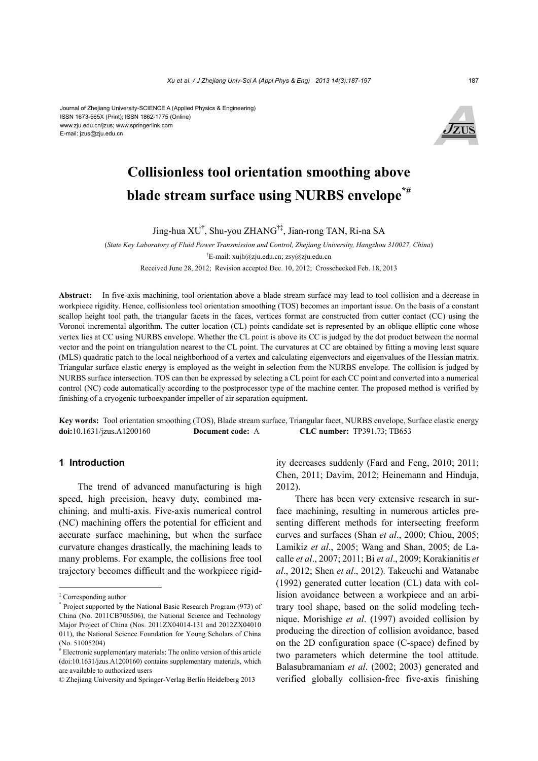#### Journal of Zhejiang University-SCIENCE A (Applied Physics & Engineering) ISSN 1673-565X (Print); ISSN 1862-1775 (Online) www.zju.edu.cn/jzus; www.springerlink.com E-mail: jzus@zju.edu.cn



# **Collisionless tool orientation smoothing above blade stream surface using NURBS envelope\*#**

Jing-hua XU† , Shu-you ZHANG†‡, Jian-rong TAN, Ri-na SA

(*State Key Laboratory of Fluid Power Transmission and Control, Zhejiang University, Hangzhou 310027, China*) † E-mail: xujh@zju.edu.cn; zsy@zju.edu.cn Received June 28, 2012; Revision accepted Dec. 10, 2012; Crosschecked Feb. 18, 2013

**Abstract:** In five-axis machining, tool orientation above a blade stream surface may lead to tool collision and a decrease in workpiece rigidity. Hence, collisionless tool orientation smoothing (TOS) becomes an important issue. On the basis of a constant scallop height tool path, the triangular facets in the faces, vertices format are constructed from cutter contact (CC) using the Voronoi incremental algorithm. The cutter location (CL) points candidate set is represented by an oblique elliptic cone whose vertex lies at CC using NURBS envelope. Whether the CL point is above its CC is judged by the dot product between the normal vector and the point on triangulation nearest to the CL point. The curvatures at CC are obtained by fitting a moving least square (MLS) quadratic patch to the local neighborhood of a vertex and calculating eigenvectors and eigenvalues of the Hessian matrix. Triangular surface elastic energy is employed as the weight in selection from the NURBS envelope. The collision is judged by NURBS surface intersection. TOS can then be expressed by selecting a CL point for each CC point and converted into a numerical control (NC) code automatically according to the postprocessor type of the machine center. The proposed method is verified by finishing of a cryogenic turboexpander impeller of air separation equipment.

**Key words:** Tool orientation smoothing (TOS), Blade stream surface, Triangular facet, NURBS envelope, Surface elastic energy **doi:**10.1631/jzus.A1200160 **Document code:** A **CLC number:** TP391.73; TB653

## **1 Introduction**

The trend of advanced manufacturing is high speed, high precision, heavy duty, combined machining, and multi-axis. Five-axis numerical control (NC) machining offers the potential for efficient and accurate surface machining, but when the surface curvature changes drastically, the machining leads to many problems. For example, the collisions free tool trajectory becomes difficult and the workpiece rigidity decreases suddenly (Fard and Feng, 2010; 2011; Chen, 2011; Davim, 2012; Heinemann and Hinduja, 2012).

There has been very extensive research in surface machining, resulting in numerous articles presenting different methods for intersecting freeform curves and surfaces (Shan *et al*., 2000; Chiou, 2005; Lamikiz *et al*., 2005; Wang and Shan, 2005; de Lacalle *et al*., 2007; 2011; Bi *et al*., 2009; Korakianitis *et al*., 2012; Shen *et al*., 2012). Takeuchi and Watanabe (1992) generated cutter location (CL) data with collision avoidance between a workpiece and an arbitrary tool shape, based on the solid modeling technique. Morishige *et al*. (1997) avoided collision by producing the direction of collision avoidance, based on the 2D configuration space (C-space) defined by two parameters which determine the tool attitude. Balasubramaniam *et al*. (2002; 2003) generated and verified globally collision-free five-axis finishing

<sup>‡</sup> Corresponding author

<sup>\*</sup> Project supported by the National Basic Research Program (973) of China (No. 2011CB706506), the National Science and Technology Major Project of China (Nos. 2011ZX04014-131 and 2012ZX04010 011), the National Science Foundation for Young Scholars of China (No. 51005204)

<sup>#</sup> Electronic supplementary materials: The online version of this article (doi:10.1631/jzus.A1200160) contains supplementary materials, which are available to authorized users

<sup>©</sup> Zhejiang University and Springer-Verlag Berlin Heidelberg 2013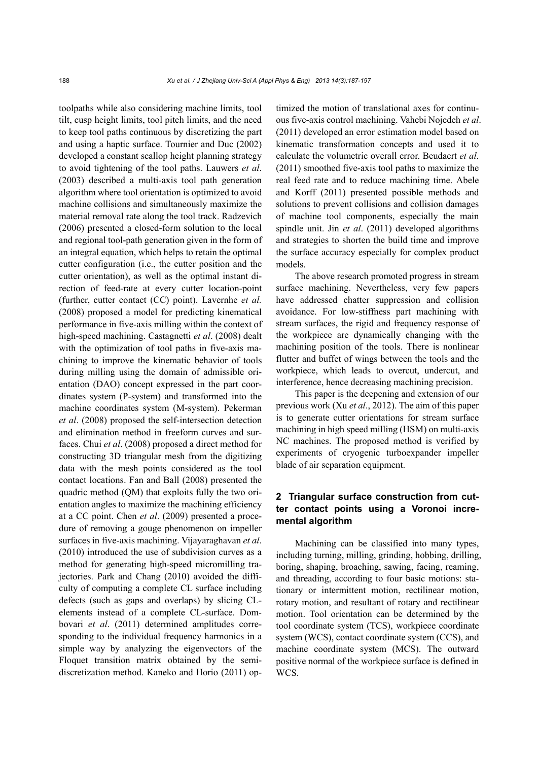toolpaths while also considering machine limits, tool tilt, cusp height limits, tool pitch limits, and the need to keep tool paths continuous by discretizing the part and using a haptic surface. Tournier and Duc (2002) developed a constant scallop height planning strategy to avoid tightening of the tool paths. Lauwers *et al*. (2003) described a multi-axis tool path generation algorithm where tool orientation is optimized to avoid machine collisions and simultaneously maximize the material removal rate along the tool track. Radzevich (2006) presented a closed-form solution to the local and regional tool-path generation given in the form of an integral equation, which helps to retain the optimal cutter configuration (i.e., the cutter position and the cutter orientation), as well as the optimal instant direction of feed-rate at every cutter location-point (further, cutter contact (CC) point). Lavernhe *et al.* (2008) proposed a model for predicting kinematical performance in five-axis milling within the context of high-speed machining. Castagnetti *et al*. (2008) dealt with the optimization of tool paths in five-axis machining to improve the kinematic behavior of tools during milling using the domain of admissible orientation (DAO) concept expressed in the part coordinates system (P-system) and transformed into the machine coordinates system (M-system). Pekerman *et al*. (2008) proposed the self-intersection detection and elimination method in freeform curves and surfaces. Chui *et al*. (2008) proposed a direct method for constructing 3D triangular mesh from the digitizing data with the mesh points considered as the tool contact locations. Fan and Ball (2008) presented the quadric method (QM) that exploits fully the two orientation angles to maximize the machining efficiency at a CC point. Chen *et al*. (2009) presented a procedure of removing a gouge phenomenon on impeller surfaces in five-axis machining. Vijayaraghavan *et al*. (2010) introduced the use of subdivision curves as a method for generating high-speed micromilling trajectories. Park and Chang (2010) avoided the difficulty of computing a complete CL surface including defects (such as gaps and overlaps) by slicing CLelements instead of a complete CL-surface. Dombovari *et al*. (2011) determined amplitudes corresponding to the individual frequency harmonics in a simple way by analyzing the eigenvectors of the Floquet transition matrix obtained by the semidiscretization method. Kaneko and Horio (2011) optimized the motion of translational axes for continuous five-axis control machining. Vahebi Nojedeh *et al*. (2011) developed an error estimation model based on kinematic transformation concepts and used it to calculate the volumetric overall error. Beudaert *et al*. (2011) smoothed five-axis tool paths to maximize the real feed rate and to reduce machining time. Abele and Korff (2011) presented possible methods and solutions to prevent collisions and collision damages of machine tool components, especially the main spindle unit. Jin *et al*. (2011) developed algorithms and strategies to shorten the build time and improve the surface accuracy especially for complex product models.

The above research promoted progress in stream surface machining. Nevertheless, very few papers have addressed chatter suppression and collision avoidance. For low-stiffness part machining with stream surfaces, the rigid and frequency response of the workpiece are dynamically changing with the machining position of the tools. There is nonlinear flutter and buffet of wings between the tools and the workpiece, which leads to overcut, undercut, and interference, hence decreasing machining precision.

This paper is the deepening and extension of our previous work (Xu *et al*., 2012). The aim of this paper is to generate cutter orientations for stream surface machining in high speed milling (HSM) on multi-axis NC machines. The proposed method is verified by experiments of cryogenic turboexpander impeller blade of air separation equipment.

## **2 Triangular surface construction from cutter contact points using a Voronoi incremental algorithm**

Machining can be classified into many types, including turning, milling, grinding, hobbing, drilling, boring, shaping, broaching, sawing, facing, reaming, and threading, according to four basic motions: stationary or intermittent motion, rectilinear motion, rotary motion, and resultant of rotary and rectilinear motion. Tool orientation can be determined by the tool coordinate system (TCS), workpiece coordinate system (WCS), contact coordinate system (CCS), and machine coordinate system (MCS). The outward positive normal of the workpiece surface is defined in WCS.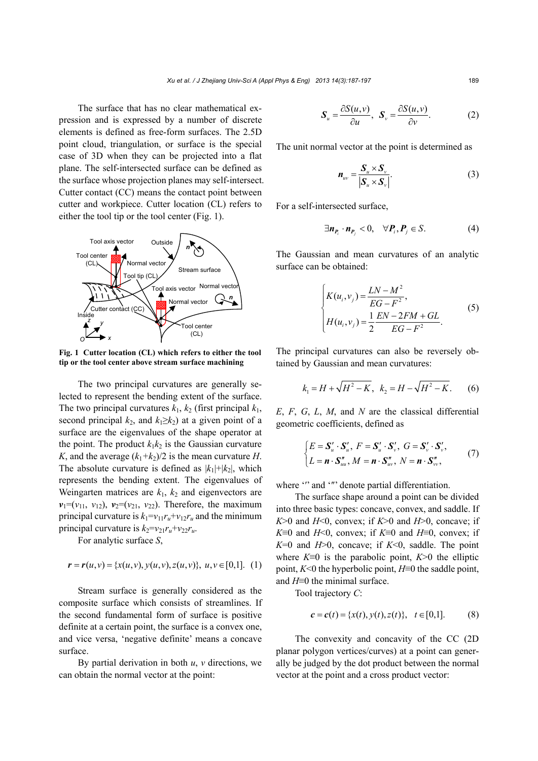The surface that has no clear mathematical expression and is expressed by a number of discrete elements is defined as free-form surfaces. The 2.5D point cloud, triangulation, or surface is the special case of 3D when they can be projected into a flat plane. The self-intersected surface can be defined as the surface whose projection planes may self-intersect. Cutter contact (CC) means the contact point between cutter and workpiece. Cutter location (CL) refers to either the tool tip or the tool center (Fig. 1).



**Fig. 1 Cutter location (CL) which refers to either the tool tip or the tool center above stream surface machining**

The two principal curvatures are generally selected to represent the bending extent of the surface. The two principal curvatures  $k_1$ ,  $k_2$  (first principal  $k_1$ , second principal  $k_2$ , and  $k_1 \geq k_2$ ) at a given point of a surface are the eigenvalues of the shape operator at the point. The product  $k_1k_2$  is the Gaussian curvature *K*, and the average  $(k_1+k_2)/2$  is the mean curvature *H*. The absolute curvature is defined as  $|k_1|+|k_2|$ , which represents the bending extent. The eigenvalues of Weingarten matrices are  $k_1$ ,  $k_2$  and eigenvectors are  $v_1 = (v_{11}, v_{12}), v_2 = (v_{21}, v_{22})$ . Therefore, the maximum principal curvature is  $k_1 = v_{11}r_u + v_{12}r_u$  and the minimum principal curvature is  $k_2 = v_{21}r_u + v_{22}r_u$ .

For analytic surface *S*,

$$
\mathbf{r} = \mathbf{r}(u, v) = \{x(u, v), y(u, v), z(u, v)\}, \ u, v \in [0, 1]. \quad (1)
$$

Stream surface is generally considered as the composite surface which consists of streamlines. If the second fundamental form of surface is positive definite at a certain point, the surface is a convex one, and vice versa, 'negative definite' means a concave surface.

By partial derivation in both *u*, *v* directions, we can obtain the normal vector at the point:

$$
\mathbf{S}_{u} = \frac{\partial S(u, v)}{\partial u}, \quad \mathbf{S}_{v} = \frac{\partial S(u, v)}{\partial v}.
$$
 (2)

The unit normal vector at the point is determined as

$$
\boldsymbol{n}_{uv} = \frac{\boldsymbol{S}_u \times \boldsymbol{S}_v}{|\boldsymbol{S}_u \times \boldsymbol{S}_v|}.
$$
 (3)

For a self-intersected surface,

$$
\exists n_{P_i} \cdot n_{P_j} < 0, \quad \forall P_i, P_j \in S. \tag{4}
$$

The Gaussian and mean curvatures of an analytic surface can be obtained:

$$
\begin{cases}\nK(u_i, v_j) = \frac{LN - M^2}{EG - F^2}, \\
H(u_i, v_j) = \frac{1}{2} \frac{EN - 2FM + GL}{EG - F^2}.\n\end{cases}
$$
\n(5)

The principal curvatures can also be reversely obtained by Gaussian and mean curvatures:

$$
k_1 = H + \sqrt{H^2 - K}
$$
,  $k_2 = H - \sqrt{H^2 - K}$ . (6)

*E*, *F*, *G*, *L*, *M*, and *N* are the classical differential geometric coefficients, defined as

$$
\begin{cases}\nE = \mathbf{S}'_u \cdot \mathbf{S}'_u, F = \mathbf{S}'_u \cdot \mathbf{S}'_v, G = \mathbf{S}'_v \cdot \mathbf{S}'_v, \\
L = \mathbf{n} \cdot \mathbf{S}''_{uu}, M = \mathbf{n} \cdot \mathbf{S}''_{uv}, N = \mathbf{n} \cdot \mathbf{S}''_{vv},\n\end{cases} (7)
$$

where "' and '"' denote partial differentiation.

The surface shape around a point can be divided into three basic types: concave, convex, and saddle. If  $K > 0$  and  $H < 0$ , convex; if  $K > 0$  and  $H > 0$ , concave; if *K*≡0 and *H*<0, convex; if *K*≡0 and *H*≡0, convex; if *K*=0 and *H*>0, concave; if *K*<0, saddle. The point where *K*≡0 is the parabolic point, *K*>0 the elliptic point, *K*<0 the hyperbolic point, *H*≡0 the saddle point, and *H*≡0 the minimal surface.

Tool trajectory *C*:

$$
c = c(t) = \{x(t), y(t), z(t)\}, \quad t \in [0,1].
$$
 (8)

The convexity and concavity of the CC (2D planar polygon vertices/curves) at a point can generally be judged by the dot product between the normal vector at the point and a cross product vector: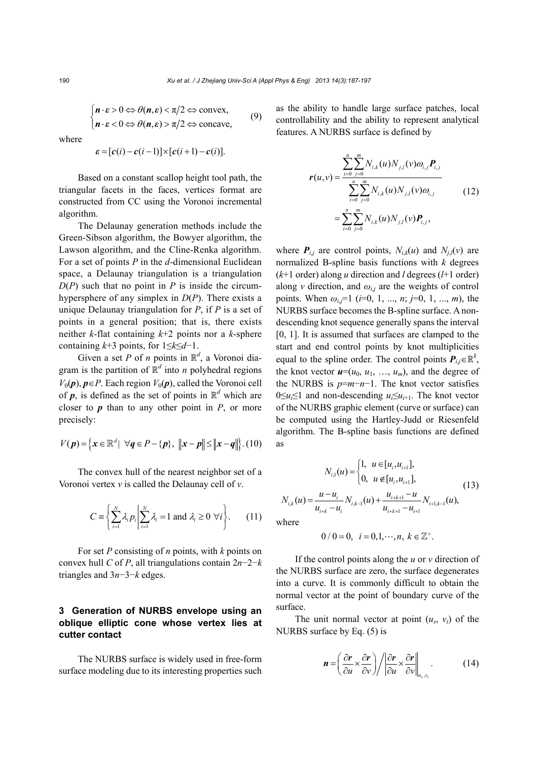$$
\begin{cases} \boldsymbol{n} \cdot \boldsymbol{\varepsilon} > 0 \Leftrightarrow \theta(\boldsymbol{n}, \boldsymbol{\varepsilon}) < \pi/2 \Leftrightarrow \text{convex}, \\ \boldsymbol{n} \cdot \boldsymbol{\varepsilon} < 0 \Leftrightarrow \theta(\boldsymbol{n}, \boldsymbol{\varepsilon}) > \pi/2 \Leftrightarrow \text{concave}, \end{cases} \tag{9}
$$

where

$$
\varepsilon = [c(i) - c(i-1)] \times [c(i+1) - c(i)].
$$

Based on a constant scallop height tool path, the triangular facets in the faces, vertices format are constructed from CC using the Voronoi incremental algorithm.

The Delaunay generation methods include the Green-Sibson algorithm, the Bowyer algorithm, the Lawson algorithm, and the Cline-Renka algorithm. For a set of points *P* in the *d*-dimensional Euclidean space, a Delaunay triangulation is a triangulation  $D(P)$  such that no point in *P* is inside the circumhypersphere of any simplex in *D*(*P*). There exists a unique Delaunay triangulation for *P*, if *P* is a set of points in a general position; that is, there exists neither *k*-flat containing *k*+2 points nor a *k*-sphere containing *k*+3 points, for 1≤*k*≤*d*−1.

Given a set *P* of *n* points in  $\mathbb{R}^d$ , a Voronoi diagram is the partition of  $\mathbb{R}^d$  into *n* polyhedral regions  $V_0(\boldsymbol{p})$ ,  $\boldsymbol{p} \in P$ . Each region  $V_0(\boldsymbol{p})$ , called the Voronoi cell of  $p$ , is defined as the set of points in  $\mathbb{R}^d$  which are closer to  $p$  than to any other point in  $P$ , or more precisely:

$$
V(\boldsymbol{p}) = \left\{ \boldsymbol{x} \in \mathbb{R}^d \, | \, \forall \boldsymbol{q} \in P - \{\boldsymbol{p}\}, \, \|\boldsymbol{x} - \boldsymbol{p}\| \le \|\boldsymbol{x} - \boldsymbol{q}\| \right\}. \, (10)
$$

The convex hull of the nearest neighbor set of a Voronoi vertex *v* is called the Delaunay cell of *v*.

$$
C \equiv \left\{ \sum_{i=1}^{N} \lambda_i p_i \middle| \sum_{i=1}^{N} \lambda_i = 1 \text{ and } \lambda_i \ge 0 \ \forall i \right\}.
$$
 (11)

For set *P* consisting of *n* points, with *k* points on convex hull *C* of *P*, all triangulations contain 2*n*−2−*k* triangles and 3*n*−3−*k* edges.

## **3 Generation of NURBS envelope using an oblique elliptic cone whose vertex lies at cutter contact**

The NURBS surface is widely used in free-form surface modeling due to its interesting properties such

as the ability to handle large surface patches, local controllability and the ability to represent analytical features. A NURBS surface is defined by

$$
\mathbf{r}(u,v) = \frac{\sum_{i=0}^{n} \sum_{j=0}^{m} N_{i,k}(u) N_{j,l}(v) \omega_{i,j} \mathbf{P}_{i,j}}{\sum_{i=0}^{n} \sum_{j=0}^{m} N_{i,k}(u) N_{j,l}(v) \omega_{i,j}}
$$
(12)  

$$
= \sum_{i=0}^{n} \sum_{j=0}^{m} N_{i,k}(u) N_{j,l}(v) \mathbf{P}_{i,j},
$$

where  $P_{i,j}$  are control points,  $N_{i,k}(u)$  and  $N_{j,l}(v)$  are normalized B-spline basis functions with *k* degrees (*k*+1 order) along *u* direction and *l* degrees (*l*+1 order) along *v* direction, and  $\omega_{i,j}$  are the weights of control points. When *ωi*,*j*=1 (*i*=0, 1, ..., *n*; *j*=0, 1, ..., *m*), the NURBS surface becomes the B-spline surface. A nondescending knot sequence generally spans the interval [0, 1]. It is assumed that surfaces are clamped to the start and end control points by knot multiplicities equal to the spline order. The control points  $P_{ij} \in \mathbb{R}^k$ , the knot vector  $u=(u_0, u_1, \ldots, u_m)$ , and the degree of the NURBS is *p*=*m*−*n*−1. The knot vector satisfies 0≤*ui*≤1 and non-descending *ui*≤*ui*+1. The knot vector of the NURBS graphic element (curve or surface) can be computed using the Hartley-Judd or Riesenfeld algorithm. The B-spline basis functions are defined as

$$
N_{i,1}(u) = \begin{cases} 1, & u \in [u_i, u_{i+1}], \\ 0, & u \notin [u_i, u_{i+1}], \end{cases}
$$
  
\n
$$
N_{i,k}(u) = \frac{u - u_i}{u_{i+k} - u_i} N_{i,k-1}(u) + \frac{u_{i+k+1} - u}{u_{i+k+1} - u_{i+1}} N_{i+1,k-1}(u),
$$
\n(13)  
\nwhere

W.

$$
0/0 = 0
$$
,  $i = 0, 1, \dots, n, k \in \mathbb{Z}^+$ .

If the control points along the *u* or *v* direction of the NURBS surface are zero, the surface degenerates into a curve. It is commonly difficult to obtain the normal vector at the point of boundary curve of the surface.

The unit normal vector at point  $(u_s, v_t)$  of the NURBS surface by Eq. (5) is

$$
\boldsymbol{n} = \left(\frac{\partial \boldsymbol{r}}{\partial u} \times \frac{\partial \boldsymbol{r}}{\partial v}\right) / \left\|\frac{\partial \boldsymbol{r}}{\partial u} \times \frac{\partial \boldsymbol{r}}{\partial v}\right\|_{u_s, v_i}.
$$
 (14)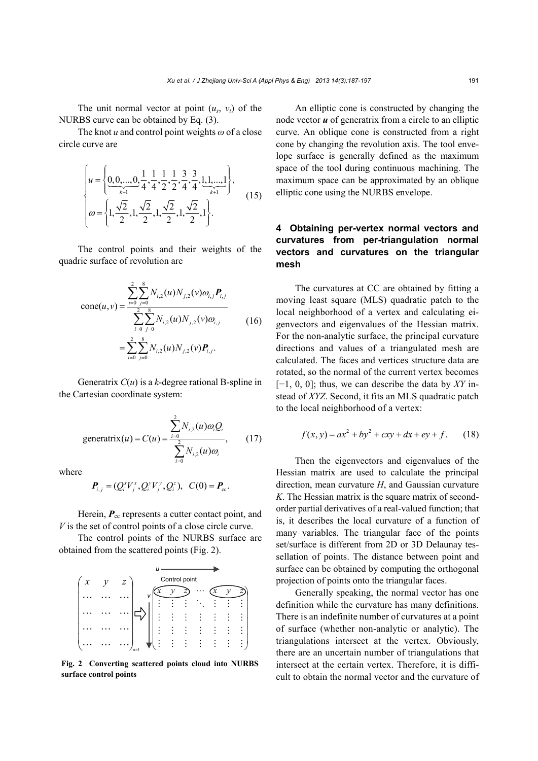The unit normal vector at point  $(u_s, v_t)$  of the NURBS curve can be obtained by Eq. (3).

The knot *u* and control point weights *ω* of a close circle curve are

$$
\begin{cases}\n u = \left\{ \underbrace{0, 0, ..., 0}_{k+1}, \frac{1}{4}, \frac{1}{4}, \frac{1}{2}, \frac{1}{2}, \frac{3}{4}, \frac{3}{4}, \frac{1}{4}, \frac{1}{4}, ..., 1}_{k+1} \right\}, \\
 \omega = \left\{ 1, \frac{\sqrt{2}}{2}, 1, \frac{\sqrt{2}}{2}, 1, \frac{\sqrt{2}}{2}, 1, \frac{\sqrt{2}}{2}, 1 \right\}.\n\end{cases} (15)
$$

The control points and their weights of the quadric surface of revolution are

$$
cone(u, v) = \frac{\sum_{i=0}^{2} \sum_{j=0}^{8} N_{i,2}(u) N_{j,2}(v) \omega_{i,j} P_{i,j}}{\sum_{i=0}^{2} \sum_{j=0}^{8} N_{i,2}(u) N_{j,2}(v) \omega_{i,j}}
$$
(16)  

$$
= \sum_{i=0}^{2} \sum_{j=0}^{8} N_{i,2}(u) N_{j,2}(v) P_{i,j}.
$$

Generatrix *C*(*u*) is a *k*-degree rational B-spline in the Cartesian coordinate system:

$$
\text{generatrix}(u) = C(u) = \frac{\sum_{i=0}^{2} N_{i,2}(u)\omega_i Q_i}{\sum_{i=0}^{2} N_{i,2}(u)\omega_i},\qquad(17)
$$

where

$$
\bm{P}_{i,j} = (Q_i^x V_j^x, Q_i^y V_j^y, Q_i^z), \ \ C(0) = \bm{P}_{\rm cc}.
$$

Herein,  $P_{\rm cc}$  represents a cutter contact point, and *V* is the set of control points of a close circle curve.

The control points of the NURBS surface are obtained from the scattered points (Fig. 2).



**Fig. 2 Converting scattered points cloud into NURBS surface control points**

An elliptic cone is constructed by changing the node vector *u* of generatrix from a circle to an elliptic curve. An oblique cone is constructed from a right cone by changing the revolution axis. The tool envelope surface is generally defined as the maximum space of the tool during continuous machining. The maximum space can be approximated by an oblique elliptic cone using the NURBS envelope.

## **4 Obtaining per-vertex normal vectors and curvatures from per-triangulation normal vectors and curvatures on the triangular mesh**

The curvatures at CC are obtained by fitting a moving least square (MLS) quadratic patch to the local neighborhood of a vertex and calculating eigenvectors and eigenvalues of the Hessian matrix. For the non-analytic surface, the principal curvature directions and values of a triangulated mesh are calculated. The faces and vertices structure data are rotated, so the normal of the current vertex becomes [−1, 0, 0]; thus, we can describe the data by *XY* instead of *XYZ*. Second, it fits an MLS quadratic patch to the local neighborhood of a vertex:

$$
f(x, y) = ax^{2} + by^{2} + cxy + dx + ey + f.
$$
 (18)

Then the eigenvectors and eigenvalues of the Hessian matrix are used to calculate the principal direction, mean curvature *H*, and Gaussian curvature *K*. The Hessian matrix is the square matrix of secondorder partial derivatives of a real-valued function; that is, it describes the local curvature of a function of many variables. The triangular face of the points set/surface is different from 2D or 3D Delaunay tessellation of points. The distance between point and surface can be obtained by computing the orthogonal projection of points onto the triangular faces.

Generally speaking, the normal vector has one definition while the curvature has many definitions. There is an indefinite number of curvatures at a point of surface (whether non-analytic or analytic). The triangulations intersect at the vertex. Obviously, there are an uncertain number of triangulations that intersect at the certain vertex. Therefore, it is difficult to obtain the normal vector and the curvature of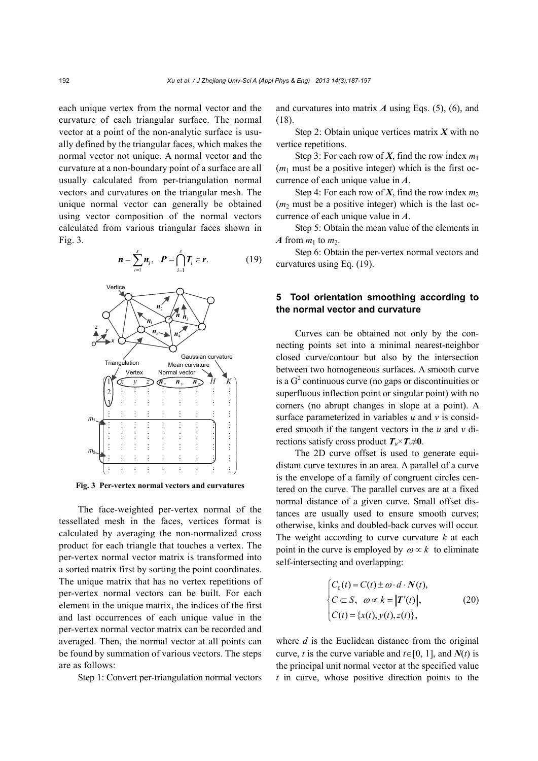each unique vertex from the normal vector and the curvature of each triangular surface. The normal vector at a point of the non-analytic surface is usually defined by the triangular faces, which makes the normal vector not unique. A normal vector and the curvature at a non-boundary point of a surface are all usually calculated from per-triangulation normal vectors and curvatures on the triangular mesh. The unique normal vector can generally be obtained using vector composition of the normal vectors calculated from various triangular faces shown in Fig. 3.



**Fig. 3 Per-vertex normal vectors and curvatures**

The face-weighted per-vertex normal of the tessellated mesh in the faces, vertices format is calculated by averaging the non-normalized cross product for each triangle that touches a vertex. The per-vertex normal vector matrix is transformed into a sorted matrix first by sorting the point coordinates. The unique matrix that has no vertex repetitions of per-vertex normal vectors can be built. For each element in the unique matrix, the indices of the first and last occurrences of each unique value in the per-vertex normal vector matrix can be recorded and averaged. Then, the normal vector at all points can be found by summation of various vectors. The steps are as follows:

Step 1: Convert per-triangulation normal vectors

and curvatures into matrix *A* using Eqs. (5), (6), and (18).

Step 2: Obtain unique vertices matrix *X* with no vertice repetitions.

Step 3: For each row of *X*, find the row index  $m_1$  $(m<sub>1</sub>$  must be a positive integer) which is the first occurrence of each unique value in *A*.

Step 4: For each row of *X*, find the row index  $m_2$  $(m<sub>2</sub>$  must be a positive integer) which is the last occurrence of each unique value in *A*.

Step 5: Obtain the mean value of the elements in *A* from  $m_1$  to  $m_2$ .

Step 6: Obtain the per-vertex normal vectors and curvatures using Eq. (19).

## **5 Tool orientation smoothing according to the normal vector and curvature**

Curves can be obtained not only by the connecting points set into a minimal nearest-neighbor closed curve/contour but also by the intersection between two homogeneous surfaces. A smooth curve is a  $G<sup>2</sup>$  continuous curve (no gaps or discontinuities or superfluous inflection point or singular point) with no corners (no abrupt changes in slope at a point). A surface parameterized in variables *u* and *v* is considered smooth if the tangent vectors in the *u* and *v* directions satisfy cross product  $T_v \times T_v \neq 0$ .

The 2D curve offset is used to generate equidistant curve textures in an area. A parallel of a curve is the envelope of a family of congruent circles centered on the curve. The parallel curves are at a fixed normal distance of a given curve. Small offset distances are usually used to ensure smooth curves; otherwise, kinks and doubled-back curves will occur. The weight according to curve curvature *k* at each point in the curve is employed by  $\omega \propto k$  to eliminate self-intersecting and overlapping:

$$
\begin{cases}\nC_0(t) = C(t) \pm \omega \cdot d \cdot N(t), \\
C \subset S, \quad \omega \propto k = ||T'(t)||, \\
C(t) = \{x(t), y(t), z(t)\},\n\end{cases}
$$
\n(20)

where *d* is the Euclidean distance from the original curve, *t* is the curve variable and  $t \in [0, 1]$ , and  $N(t)$  is the principal unit normal vector at the specified value *t* in curve, whose positive direction points to the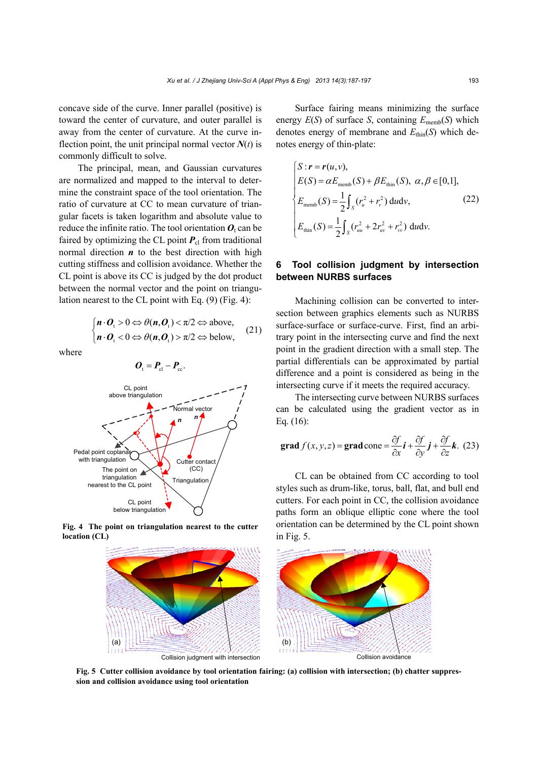concave side of the curve. Inner parallel (positive) is toward the center of curvature, and outer parallel is away from the center of curvature. At the curve inflection point, the unit principal normal vector  $N(t)$  is commonly difficult to solve.

The principal, mean, and Gaussian curvatures are normalized and mapped to the interval to determine the constraint space of the tool orientation. The ratio of curvature at CC to mean curvature of triangular facets is taken logarithm and absolute value to reduce the infinite ratio. The tool orientation  $O_t$  can be faired by optimizing the CL point  $P_{cl}$  from traditional normal direction  $n$  to the best direction with high cutting stiffness and collision avoidance. Whether the CL point is above its CC is judged by the dot product between the normal vector and the point on triangulation nearest to the CL point with Eq. (9) (Fig. 4):

$$
\begin{cases} n \cdot \mathbf{O}_{\mathfrak{t}} > 0 \Leftrightarrow \theta(n, \mathbf{O}_{\mathfrak{t}}) < \pi/2 \Leftrightarrow \text{above,} \\ n \cdot \mathbf{O}_{\mathfrak{t}} < 0 \Leftrightarrow \theta(n, \mathbf{O}_{\mathfrak{t}}) > \pi/2 \Leftrightarrow \text{below,} \end{cases} \tag{21}
$$

where

CL point above triangulation Normal vector **Triangulation** Cutter contact (CC) CL point below triangulation The point on triangulation nearest to the CL point Pedal point coplanar with triangulation *<sup>n</sup> <sup>n</sup>*

 $\bm{O}_{\rm t} = \bm{P}_{\rm el} - \bm{P}_{\rm ec}$ .

**Fig. 4 The point on triangulation nearest to the cutter location (CL)** 



$$
\begin{cases}\nS: \mathbf{r} = \mathbf{r}(u, v), \\
E(S) = \alpha E_{\text{memb}}(S) + \beta E_{\text{thin}}(S), \ \alpha, \beta \in [0, 1], \\
E_{\text{memb}}(S) = \frac{1}{2} \int_{S} (r_u^2 + r_v^2) \, \mathrm{d}u \mathrm{d}v, \\
E_{\text{min}}(S) = \frac{1}{2} \int_{S} (r_{uu}^2 + 2r_{uv}^2 + r_{vv}^2) \, \mathrm{d}u \mathrm{d}v.\n\end{cases}
$$
\n(22)

## **6 Tool collision judgment by intersection between NURBS surfaces**

Machining collision can be converted to intersection between graphics elements such as NURBS surface-surface or surface-curve. First, find an arbitrary point in the intersecting curve and find the next point in the gradient direction with a small step. The partial differentials can be approximated by partial difference and a point is considered as being in the intersecting curve if it meets the required accuracy.

The intersecting curve between NURBS surfaces can be calculated using the gradient vector as in Eq. (16):

grad 
$$
f(x, y, z) = \text{grad cone} = \frac{\partial f}{\partial x} \mathbf{i} + \frac{\partial f}{\partial y} \mathbf{j} + \frac{\partial f}{\partial z} \mathbf{k}
$$
. (23)

CL can be obtained from CC according to tool styles such as drum-like, torus, ball, flat, and bull end cutters. For each point in CC, the collision avoidance paths form an oblique elliptic cone where the tool orientation can be determined by the CL point shown in Fig. 5.



**Fig. 5 Cutter collision avoidance by tool orientation fairing: (a) collision with intersection; (b) chatter suppression and collision avoidance using tool orientation**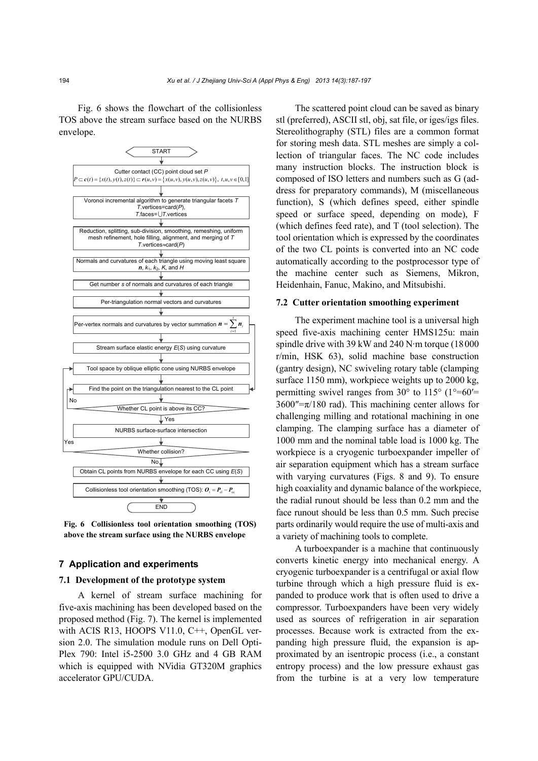Fig. 6 shows the flowchart of the collisionless TOS above the stream surface based on the NURBS envelope.



**Fig. 6 Collisionless tool orientation smoothing (TOS) above the stream surface using the NURBS envelope**

#### **7 Application and experiments**

## **7.1 Development of the prototype system**

A kernel of stream surface machining for five-axis machining has been developed based on the proposed method (Fig. 7). The kernel is implemented with ACIS R13, HOOPS V11.0, C++, OpenGL version 2.0. The simulation module runs on Dell Opti-Plex 790: Intel i5-2500 3.0 GHz and 4 GB RAM which is equipped with NVidia GT320M graphics accelerator GPU/CUDA.

The scattered point cloud can be saved as binary stl (preferred), ASCII stl, obj, sat file, or iges/igs files. Stereolithography (STL) files are a common format for storing mesh data. STL meshes are simply a collection of triangular faces. The NC code includes many instruction blocks. The instruction block is composed of ISO letters and numbers such as G (address for preparatory commands), M (miscellaneous function), S (which defines speed, either spindle speed or surface speed, depending on mode), F (which defines feed rate), and T (tool selection). The tool orientation which is expressed by the coordinates of the two CL points is converted into an NC code automatically according to the postprocessor type of the machine center such as Siemens, Mikron, Heidenhain, Fanuc, Makino, and Mitsubishi.

### **7.2 Cutter orientation smoothing experiment**

The experiment machine tool is a universal high speed five-axis machining center HMS125u: main spindle drive with 39 kW and 240 N·m torque (18000 r/min, HSK 63), solid machine base construction (gantry design), NC swiveling rotary table (clamping surface 1150 mm), workpiece weights up to 2000 kg, permitting swivel ranges from  $30^{\circ}$  to  $115^{\circ}$  (1°=60′=  $3600''=\pi/180$  rad). This machining center allows for challenging milling and rotational machining in one clamping. The clamping surface has a diameter of 1000 mm and the nominal table load is 1000 kg. The workpiece is a cryogenic turboexpander impeller of air separation equipment which has a stream surface with varying curvatures (Figs. 8 and 9). To ensure high coaxiality and dynamic balance of the workpiece, the radial runout should be less than 0.2 mm and the face runout should be less than 0.5 mm. Such precise parts ordinarily would require the use of multi-axis and a variety of machining tools to complete.

A turboexpander is a machine that continuously converts kinetic energy into mechanical energy. A cryogenic turboexpander is a centrifugal or axial flow turbine through which a high pressure fluid is expanded to produce work that is often used to drive a compressor. Turboexpanders have been very widely used as sources of refrigeration in air separation processes. Because work is extracted from the expanding high pressure fluid, the expansion is approximated by an isentropic process (i.e., a constant entropy process) and the low pressure exhaust gas from the turbine is at a very low temperature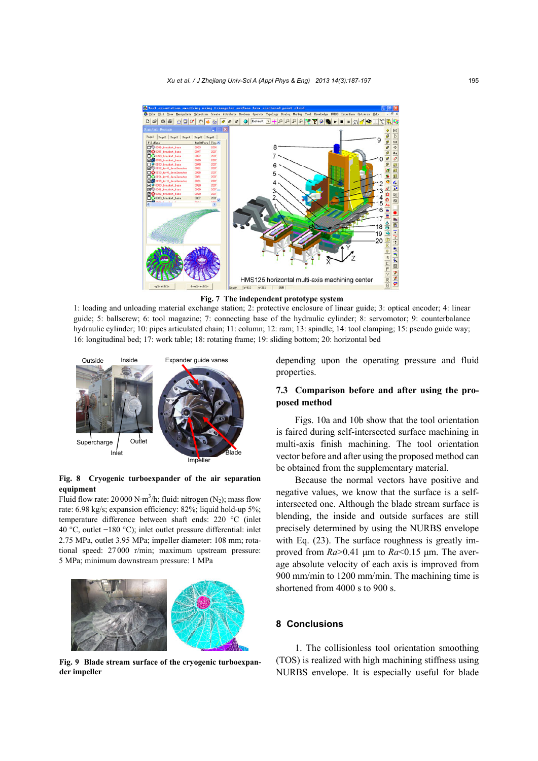

**Fig. 7 The independent prototype system** 

1: loading and unloading material exchange station; 2: protective enclosure of linear guide; 3: optical encoder; 4: linear guide; 5: ballscrew; 6: tool magazine; 7: connecting base of the hydraulic cylinder; 8: servomotor; 9: counterbalance hydraulic cylinder; 10: pipes articulated chain; 11: column; 12: ram; 13: spindle; 14: tool clamping; 15: pseudo guide way; 16: longitudinal bed; 17: work table; 18: rotating frame; 19: sliding bottom; 20: horizontal bed



#### **Fig. 8 Cryogenic turboexpander of the air separation equipment**

Fluid flow rate: 20 000 N·m<sup>3</sup>/h; fluid: nitrogen (N<sub>2</sub>); mass flow rate: 6.98 kg/s; expansion efficiency: 82%; liquid hold-up 5%; temperature difference between shaft ends: 220 °C (inlet 40 °C, outlet −180 °C); inlet outlet pressure differential: inlet 2.75 MPa, outlet 3.95 MPa; impeller diameter: 108 mm; rotational speed: 27 000 r/min; maximum upstream pressure: 5 MPa; minimum downstream pressure: 1 MPa



**Fig. 9 Blade stream surface of the cryogenic turboexpander impeller**

depending upon the operating pressure and fluid properties.

## **7.3 Comparison before and after using the proposed method**

Figs. 10a and 10b show that the tool orientation is faired during self-intersected surface machining in multi-axis finish machining. The tool orientation vector before and after using the proposed method can be obtained from the supplementary material.

Because the normal vectors have positive and negative values, we know that the surface is a selfintersected one. Although the blade stream surface is blending, the inside and outside surfaces are still precisely determined by using the NURBS envelope with Eq.  $(23)$ . The surface roughness is greatly improved from *Ra*>0.41 μm to *Ra*<0.15 μm. The average absolute velocity of each axis is improved from 900 mm/min to 1200 mm/min. The machining time is shortened from 4000 s to 900 s.

#### **8 Conclusions**

1. The collisionless tool orientation smoothing (TOS) is realized with high machining stiffness using NURBS envelope. It is especially useful for blade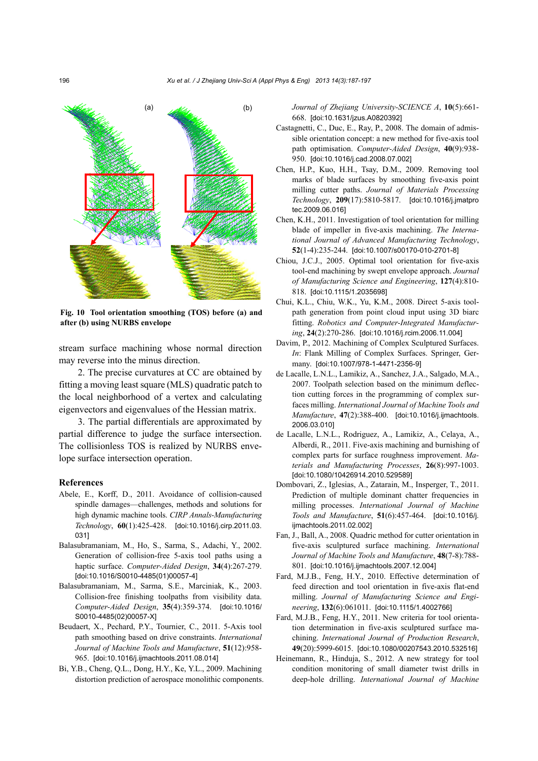

**Fig. 10 Tool orientation smoothing (TOS) before (a) and after (b) using NURBS envelope** 

stream surface machining whose normal direction may reverse into the minus direction.

2. The precise curvatures at CC are obtained by fitting a moving least square (MLS) quadratic patch to the local neighborhood of a vertex and calculating eigenvectors and eigenvalues of the Hessian matrix.

3. The partial differentials are approximated by partial difference to judge the surface intersection. The collisionless TOS is realized by NURBS envelope surface intersection operation.

#### **References**

- Abele, E., Korff, D., 2011. Avoidance of collision-caused spindle damages—challenges, methods and solutions for high dynamic machine tools. *CIRP Annals-Manufacturing Technology*, **60**(1):425-428. [doi:10.1016/j.cirp.2011.03. 031]
- Balasubramaniam, M., Ho, S., Sarma, S., Adachi, Y., 2002. Generation of collision-free 5-axis tool paths using a haptic surface. *Computer-Aided Design*, **34**(4):267-279. [doi:10.1016/S0010-4485(01)00057-4]
- Balasubramaniam, M., Sarma, S.E., Marciniak, K., 2003. Collision-free finishing toolpaths from visibility data. *Computer-Aided Design*, **35**(4):359-374. [doi:10.1016/ S0010-4485(02)00057-X]
- Beudaert, X., Pechard, P.Y., Tournier, C., 2011. 5-Axis tool path smoothing based on drive constraints. *International Journal of Machine Tools and Manufacture*, **51**(12):958- 965. [doi:10.1016/j.ijmachtools.2011.08.014]
- Bi, Y.B., Cheng, Q.L., Dong, H.Y., Ke, Y.L., 2009. Machining distortion prediction of aerospace monolithic components.

*Journal of Zhejiang University-SCIENCE A*, **10**(5):661- 668. [doi:10.1631/jzus.A0820392]

- Castagnetti, C., Duc, E., Ray, P., 2008. The domain of admissible orientation concept: a new method for five-axis tool path optimisation. *Computer-Aided Design*, **40**(9):938- 950. [doi:10.1016/j.cad.2008.07.002]
- Chen, H.P., Kuo, H.H., Tsay, D.M., 2009. Removing tool marks of blade surfaces by smoothing five-axis point milling cutter paths. *Journal of Materials Processing Technology*, **209**(17):5810-5817. [doi:10.1016/j.jmatpro tec.2009.06.016]
- Chen, K.H., 2011. Investigation of tool orientation for milling blade of impeller in five-axis machining. *The International Journal of Advanced Manufacturing Technology*, **52**(1-4):235-244. [doi:10.1007/s00170-010-2701-8]
- Chiou, J.C.J., 2005. Optimal tool orientation for five-axis tool-end machining by swept envelope approach. *Journal of Manufacturing Science and Engineering*, **127**(4):810- 818. [doi:10.1115/1.2035698]
- Chui, K.L., Chiu, W.K., Yu, K.M., 2008. Direct 5-axis toolpath generation from point cloud input using 3D biarc fitting. *Robotics and Computer-Integrated Manufacturing*, **24**(2):270-286. [doi:10.1016/j.rcim.2006.11.004]
- Davim, P., 2012. Machining of Complex Sculptured Surfaces. *In*: Flank Milling of Complex Surfaces. Springer, Germany. [doi:10.1007/978-1-4471-2356-9]
- de Lacalle, L.N.L., Lamikiz, A., Sanchez, J.A., Salgado, M.A., 2007. Toolpath selection based on the minimum deflection cutting forces in the programming of complex surfaces milling. *International Journal of Machine Tools and Manufacture*, **47**(2):388-400. [doi:10.1016/j.ijmachtools. 2006.03.010]
- de Lacalle, L.N.L., Rodriguez, A., Lamikiz, A., Celaya, A., Alberdi, R., 2011. Five-axis machining and burnishing of complex parts for surface roughness improvement. *Materials and Manufacturing Processes*, **26**(8):997-1003. [doi:10.1080/10426914.2010.529589]
- Dombovari, Z., Iglesias, A., Zatarain, M., Insperger, T., 2011. Prediction of multiple dominant chatter frequencies in milling processes. *International Journal of Machine Tools and Manufacture*, **51**(6):457-464. [doi:10.1016/j. ijmachtools.2011.02.002]
- Fan, J., Ball, A., 2008. Quadric method for cutter orientation in five-axis sculptured surface machining. *International Journal of Machine Tools and Manufacture*, **48**(7-8):788- 801. [doi:10.1016/j.ijmachtools.2007.12.004]
- Fard, M.J.B., Feng, H.Y., 2010. Effective determination of feed direction and tool orientation in five-axis flat-end milling. *Journal of Manufacturing Science and Engineering*, **132**(6):061011. [doi:10.1115/1.4002766]
- Fard, M.J.B., Feng, H.Y., 2011. New criteria for tool orientation determination in five-axis sculptured surface machining. *International Journal of Production Research*, **49**(20):5999-6015. [doi:10.1080/00207543.2010.532516]
- Heinemann, R., Hinduja, S., 2012. A new strategy for tool condition monitoring of small diameter twist drills in deep-hole drilling. *International Journal of Machine*